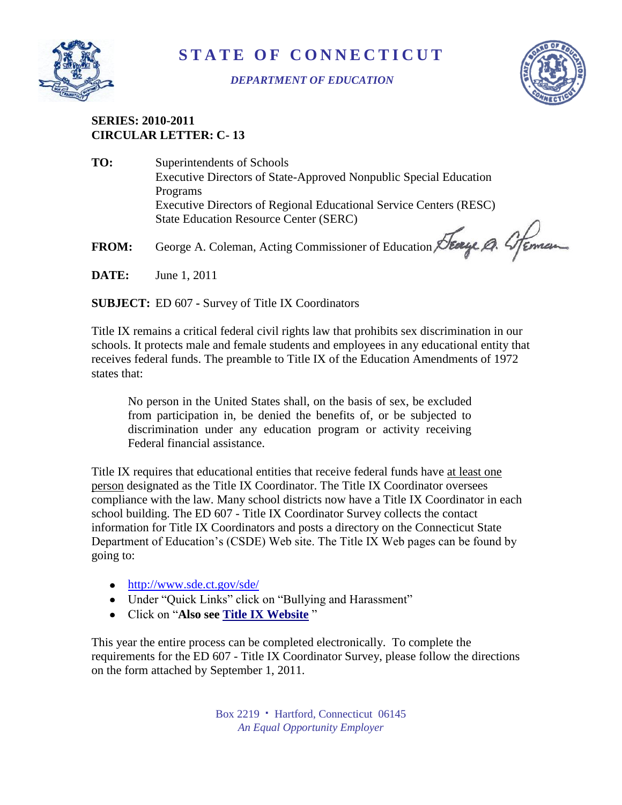

## **S T A T E O F C O N N E C T I C U T**

## *DEPARTMENT OF EDUCATION*



## **SERIES: 2010-2011 CIRCULAR LETTER: C- 13**

| TO:          | Superintendents of Schools                                         |
|--------------|--------------------------------------------------------------------|
|              | Executive Directors of State-Approved Nonpublic Special Education  |
|              | Programs                                                           |
|              | Executive Directors of Regional Educational Service Centers (RESC) |
|              | <b>State Education Resource Center (SERC)</b>                      |
| <b>FROM:</b> | George A. Coleman, Acting Commissioner of Education Stearge Q. 4   |
| DATE.        | $T_{\text{max}} = 1 - 20111$                                       |

**DATE:** June 1, 2011

**SUBJECT:** ED 607 **-** Survey of Title IX Coordinators

Title IX remains a critical federal civil rights law that prohibits sex discrimination in our schools. It protects male and female students and employees in any educational entity that receives federal funds. The preamble to Title IX of the Education Amendments of 1972 states that:

No person in the United States shall, on the basis of sex, be excluded from participation in, be denied the benefits of, or be subjected to discrimination under any education program or activity receiving Federal financial assistance.

Title IX requires that educational entities that receive federal funds have at least one person designated as the Title IX Coordinator. The Title IX Coordinator oversees compliance with the law. Many school districts now have a Title IX Coordinator in each school building. The ED 607 - Title IX Coordinator Survey collects the contact information for Title IX Coordinators and posts a directory on the Connecticut State Department of Education's (CSDE) Web site. The Title IX Web pages can be found by going to:

- <http://www.sde.ct.gov/sde/>
- Under "Quick Links" click on "Bullying and Harassment"
- Click on "**Also see [Title IX Website](http://www.sde.ct.gov/sde/cwp/view.asp?a=2681&q=320472)** "

This year the entire process can be completed electronically. To complete the requirements for the ED 607 - Title IX Coordinator Survey, please follow the directions on the form attached by September 1, 2011.

> Box 2219 **·** Hartford, Connecticut 06145 *An Equal Opportunity Employer*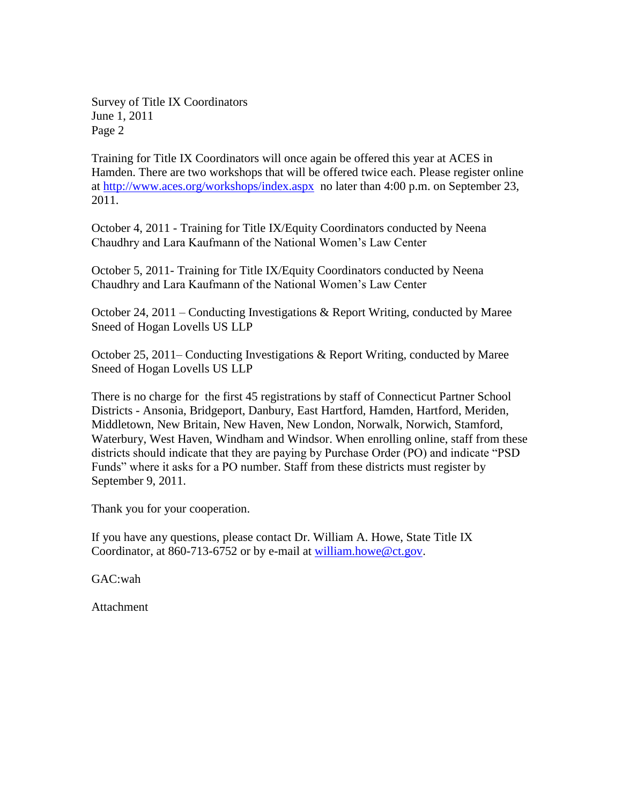Survey of Title IX Coordinators June 1, 2011 Page 2

Training for Title IX Coordinators will once again be offered this year at ACES in Hamden. There are two workshops that will be offered twice each. Please register online at<http://www.aces.org/workshops/index.aspx> no later than 4:00 p.m. on September 23, 2011.

October 4, 2011 - Training for Title IX/Equity Coordinators conducted by Neena Chaudhry and Lara Kaufmann of the National Women's Law Center

October 5, 2011- Training for Title IX/Equity Coordinators conducted by Neena Chaudhry and Lara Kaufmann of the National Women's Law Center

October 24, 2011 – Conducting Investigations & Report Writing, conducted by Maree Sneed of Hogan Lovells US LLP

October 25, 2011– Conducting Investigations & Report Writing, conducted by Maree Sneed of Hogan Lovells US LLP

There is no charge for the first 45 registrations by staff of Connecticut Partner School Districts - Ansonia, Bridgeport, Danbury, East Hartford, Hamden, Hartford, Meriden, Middletown, New Britain, New Haven, New London, Norwalk, Norwich, Stamford, Waterbury, West Haven, Windham and Windsor. When enrolling online, staff from these districts should indicate that they are paying by Purchase Order (PO) and indicate "PSD Funds" where it asks for a PO number. Staff from these districts must register by September 9, 2011.

Thank you for your cooperation.

If you have any questions, please contact Dr. William A. Howe, State Title IX Coordinator, at 860-713-6752 or by e-mail at [william.howe@ct.gov.](mailto:william.howe@ct.gov)

GAC:wah

Attachment